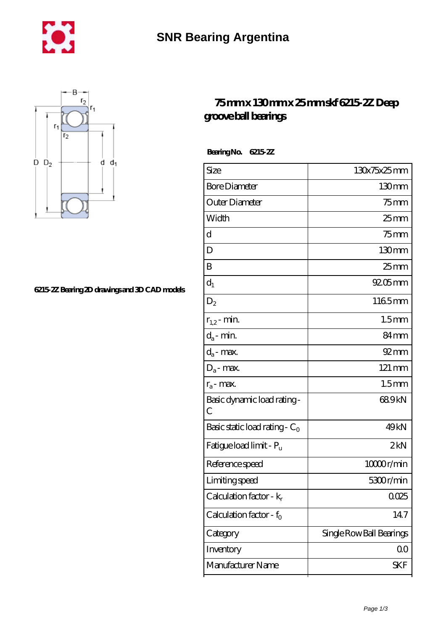



## **[6215-2Z Bearing 2D drawings and 3D CAD models](https://m.chilcotinlodge.com/pic-64958742.html)**

## **[75 mm x 130 mm x 25 mm skf 6215-2Z Deep](https://m.chilcotinlodge.com/au-64958742-skf-6215-2z-deep-groove-ball-bearings.html) [groove ball bearings](https://m.chilcotinlodge.com/au-64958742-skf-6215-2z-deep-groove-ball-bearings.html)**

 **Bearing No. 6215-2Z**

| Size                                | 130x75x25mm              |
|-------------------------------------|--------------------------|
| <b>Bore Diameter</b>                | $130 \text{mm}$          |
| Outer Diameter                      | $75$ mm                  |
| Width                               | $25$ mm                  |
| d                                   | $75$ mm                  |
| D                                   | 130mm                    |
| B                                   | $25 \text{mm}$           |
| $d_1$                               | $9205$ mm                |
| $\mathrm{D}_2$                      | 1165mm                   |
| $r_{1,2}$ - min.                    | 1.5 <sub>mm</sub>        |
| $d_a$ - min.                        | 84mm                     |
| $d_a$ - max.                        | $92 \text{mm}$           |
| $D_a$ - max.                        | 121 mm                   |
| $r_a$ - max.                        | 1.5 <sub>mm</sub>        |
| Basic dynamic load rating -<br>С    | 689kN                    |
| Basic static load rating - $C_0$    | 49 <sub>kN</sub>         |
| Fatigue load limit - P <sub>u</sub> | 2kN                      |
| Reference speed                     | 10000r/min               |
| Limiting speed                      | 5300r/min                |
| Calculation factor - $k_r$          | 0025                     |
| Calculation factor - $f_0$          | 147                      |
| Category                            | Single Row Ball Bearings |
| Inventory                           | QO                       |
| Manufacturer Name                   | SKF                      |
|                                     |                          |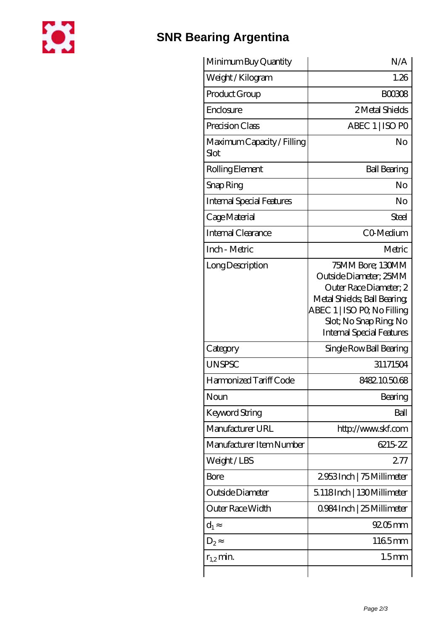

## **[SNR Bearing Argentina](https://m.chilcotinlodge.com)**

| Minimum Buy Quantity               | N/A                                                                                                                                                                                             |
|------------------------------------|-------------------------------------------------------------------------------------------------------------------------------------------------------------------------------------------------|
| Weight / Kilogram                  | 1.26                                                                                                                                                                                            |
| Product Group                      | <b>BOO308</b>                                                                                                                                                                                   |
| Enclosure                          | 2 Metal Shields                                                                                                                                                                                 |
| Precision Class                    | ABEC 1   ISO PO                                                                                                                                                                                 |
| Maximum Capacity / Filling<br>Slot | No                                                                                                                                                                                              |
| Rolling Element                    | <b>Ball Bearing</b>                                                                                                                                                                             |
| Snap Ring                          | No                                                                                                                                                                                              |
| <b>Internal Special Features</b>   | No                                                                                                                                                                                              |
| Cage Material                      | <b>Steel</b>                                                                                                                                                                                    |
| Internal Clearance                 | CO-Medium                                                                                                                                                                                       |
| Inch - Metric                      | Metric                                                                                                                                                                                          |
| Long Description                   | 75MM Bore; 130MM<br>Outside Diameter; 25MM<br>Outer Race Diameter; 2<br>Metal Shields; Ball Bearing;<br>ABEC 1   ISO PQ No Filling<br>Slot; No Snap Ring No<br><b>Internal Special Features</b> |
| Category                           | Single Row Ball Bearing                                                                                                                                                                         |
| <b>UNSPSC</b>                      | 31171504                                                                                                                                                                                        |
| Harmonized Tariff Code             | 8482105068                                                                                                                                                                                      |
| Noun                               | Bearing                                                                                                                                                                                         |
| <b>Keyword String</b>              | Ball                                                                                                                                                                                            |
| Manufacturer URL                   | http://www.skf.com                                                                                                                                                                              |
| Manufacturer Item Number           | 6215-2Z                                                                                                                                                                                         |
| Weight/LBS                         | 277                                                                                                                                                                                             |
| Bore                               | 2953Inch   75 Millimeter                                                                                                                                                                        |
| Outside Diameter                   | 5.118Inch   130Millimeter                                                                                                                                                                       |
| Outer Race Width                   | 0.984 Inch   25 Millimeter                                                                                                                                                                      |
| $d_1$                              | $9205$ <sub>mm</sub>                                                                                                                                                                            |
| $D_2$                              | 1165mm                                                                                                                                                                                          |
| $r_{1,2}$ min.                     | 1.5 <sub>mm</sub>                                                                                                                                                                               |
|                                    |                                                                                                                                                                                                 |